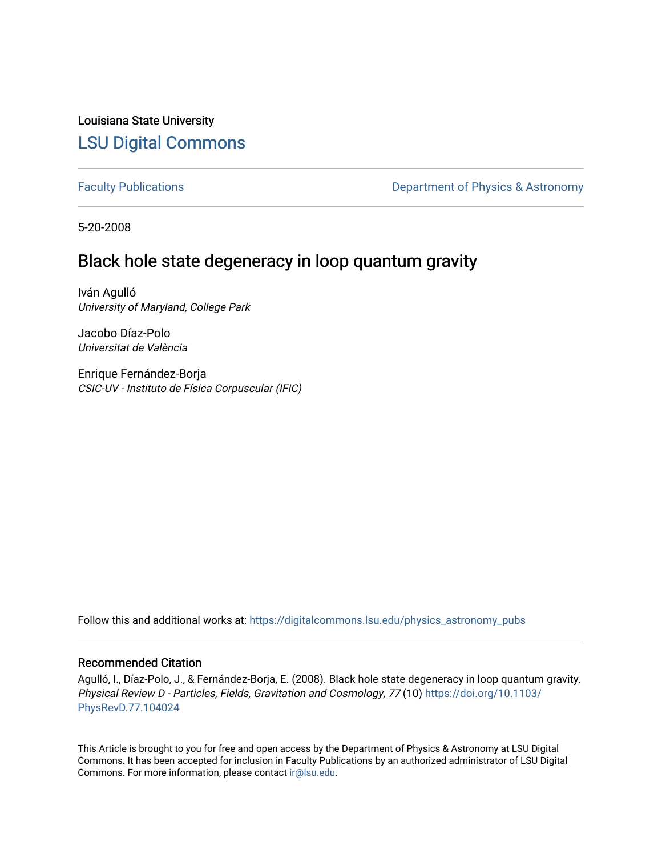Louisiana State University [LSU Digital Commons](https://digitalcommons.lsu.edu/)

[Faculty Publications](https://digitalcommons.lsu.edu/physics_astronomy_pubs) **Exercise 2 and Table 2 and Table 2 and Table 2 and Table 2 and Table 2 and Table 2 and Table 2 and Table 2 and Table 2 and Table 2 and Table 2 and Table 2 and Table 2 and Table 2 and Table 2 and Table** 

5-20-2008

# Black hole state degeneracy in loop quantum gravity

Iván Agulló University of Maryland, College Park

Jacobo Díaz-Polo Universitat de València

Enrique Fernández-Borja CSIC-UV - Instituto de Física Corpuscular (IFIC)

Follow this and additional works at: [https://digitalcommons.lsu.edu/physics\\_astronomy\\_pubs](https://digitalcommons.lsu.edu/physics_astronomy_pubs?utm_source=digitalcommons.lsu.edu%2Fphysics_astronomy_pubs%2F202&utm_medium=PDF&utm_campaign=PDFCoverPages) 

## Recommended Citation

Agulló, I., Díaz-Polo, J., & Fernández-Borja, E. (2008). Black hole state degeneracy in loop quantum gravity. Physical Review D - Particles, Fields, Gravitation and Cosmology, 77 (10) [https://doi.org/10.1103/](https://doi.org/10.1103/PhysRevD.77.104024) [PhysRevD.77.104024](https://doi.org/10.1103/PhysRevD.77.104024)

This Article is brought to you for free and open access by the Department of Physics & Astronomy at LSU Digital Commons. It has been accepted for inclusion in Faculty Publications by an authorized administrator of LSU Digital Commons. For more information, please contact [ir@lsu.edu](mailto:ir@lsu.edu).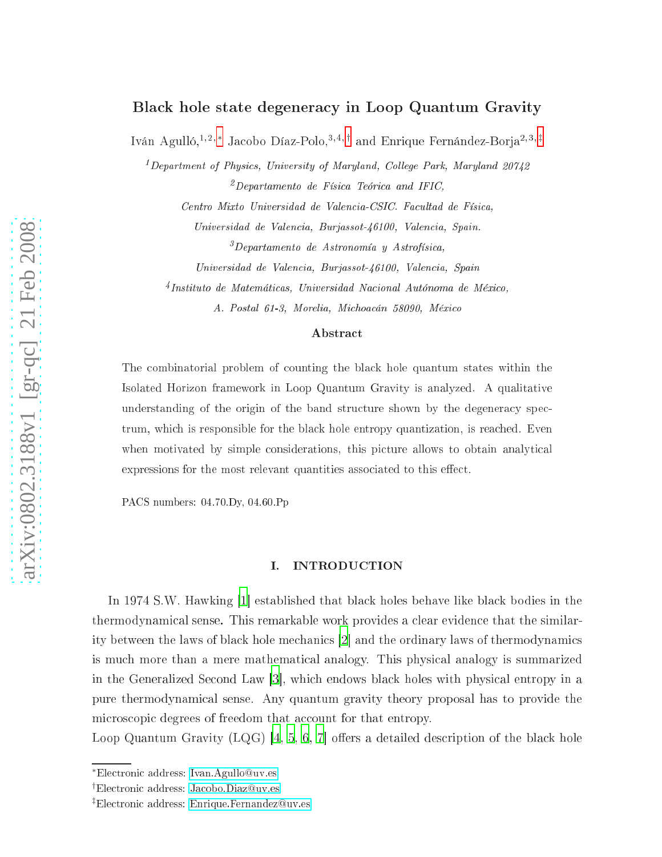# Black hole state degeneracy in Loop Quantum Gravity

Iván Agulló,<sup>1,2,[∗](#page-1-0)</sup> Jacobo Díaz-Polo,<sup>3,4,[†](#page-1-1)</sup> and Enrique Fernández-Boria<sup>2,3,[‡](#page-1-2)</sup>

<sup>1</sup> Department of Physi
s, University of Maryland, Col lege Park, Maryland 20742 -Departamento de Física Ieorica ana IFIC,

Centro Mixto Universidad de Valencia-CSIC. Facultad de Física,

Universidad de Valen
ia, Burjassot-46100, Valen
ia, Spain.

-Departamento de Astronomía y Astrofísica,

Universidad de Valencia, Burjassot-46100, Valencia, Spain

''Instituto de Matemáticas, Universidad Ivacional Autonoma de México,

A. Postal 61-3, Morelia, Mi
hoa
án 58090, Méxi
o

#### Abstra
t

The ombinatorial problem of ounting the bla
k hole quantum states within the Isolated Horizon framework in Loop Quantum Gravity is analyzed. A qualitative understanding of the origin of the band structure shown by the degeneracy spectrum, which is responsible for the black hole entropy quantization, is reached. Even when motivated by simple considerations, this picture allows to obtain analytical expressions for the most relevant quantities associated to this effect.

PACS numbers: 04.70.Dy, 04.60.Pp

#### I. INTRODUCTION

In 1974 S.W. Hawking [\[1](#page-22-0)] established that black holes behave like black bodies in the thermodynami
al sense. This remarkable work provides a lear eviden
e that the similarity between the laws of black hole mechanics [2] and the ordinary laws of thermodynamics is mu
h more than a mere mathemati
al analogy. This physi
al analogy is summarized in the Generalized Second Law  $|3|$ , which endows black holes with physical entropy in a pure thermodynami
al sense. Any quantum gravity theory proposal has to provide the microscopic degrees of freedom that account for that entropy.

Loop Quantum Gravity (LQG)  $[4, 5, 6, 7]$  $[4, 5, 6, 7]$  $[4, 5, 6, 7]$  $[4, 5, 6, 7]$  $[4, 5, 6, 7]$  $[4, 5, 6, 7]$  $[4, 5, 6, 7]$  $[4, 5, 6, 7]$  offers a detailed description of the black hole

<span id="page-1-0"></span><sup>∗</sup>Ele
troni address: [Ivan.Agullouv.es](mailto:Ivan.Agullo@uv.es)

<span id="page-1-1"></span><sup>&</sup>lt;sup>†</sup>Electronic address: Jacobo.Diaz@uv.es

<span id="page-1-2"></span><sup>&</sup>lt;sup>‡</sup>Electronic address: Enrique.Fernandez@uv.es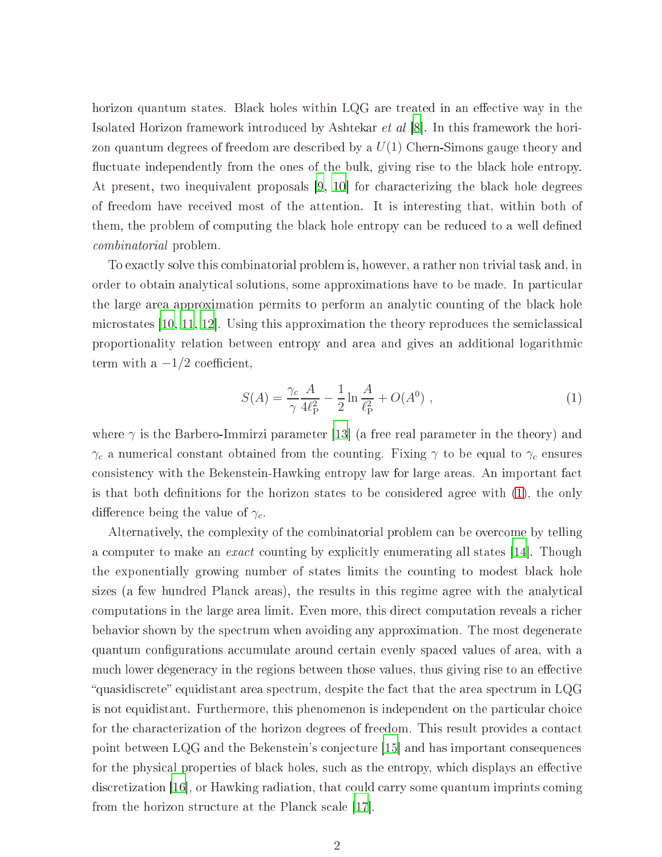horizon quantum states. Black holes within LQG are treated in an effective way in the Isolated Horizon framework introduced by Ashtekar *et al* [8]. In this framework the horizon quantum degrees of freedom are described by a  $U(1)$  Chern-Simons gauge theory and fluctuate independently from the ones of the bulk, giving rise to the black hole entropy. At present, two inequivalent proposals  $(9, 10)$  for characterizing the black hole degrees of freedom have re
eived most of the attention. It is interesting that, within both of them, the problem of computing the black hole entropy can be reduced to a well defined ombinatorial problem.

To exa
tly solve this ombinatorial problem is, however, a rather non trivial task and, in order to obtain analytical solutions, some approximations have to be made. In particular the large area approximation permits to perform an analytic counting of the black hole microstates  $[10, 11, 12]$  $[10, 11, 12]$  $[10, 11, 12]$  $[10, 11, 12]$ . Using this approximation the theory reproduces the semiclassical proportionality relation between entropy and area and gives an additional logarithmi term with a  $-1/2$  coefficient,

<span id="page-2-0"></span>
$$
S(A) = \frac{\gamma_c}{\gamma} \frac{A}{4\ell_{\rm P}^2} - \frac{1}{2} \ln \frac{A}{\ell_{\rm P}^2} + O(A^0) \;, \tag{1}
$$

where  $\gamma$  is the Barbero-Immirzi parameter [13] (a free real parameter in the theory) and  $\gamma_c$  a numerical constant obtained from the counting. Fixing  $\gamma$  to be equal to  $\gamma_c$  ensures consistency with the Bekenstein-Hawking entropy law for large areas. An important fact is that both definitions for the horizon states to be considered agree with  $(1)$ , the only difference being the value of  $\gamma_c$ .

Alternatively, the omplexity of the ombinatorial problem an be over
ome by telling a computer to make an *exact* counting by explicitly enumerating all states [14]. Though the exponentially growing number of states limits the ounting to modest bla
k hole sizes (a few hundred Planck areas), the results in this regime agree with the analytical computations in the large area limit. Even more, this direct computation reveals a richer behavior shown by the spectrum when avoiding any approximation. The most degenerate quantum configurations accumulate around certain evenly spaced values of area, with a much lower degeneracy in the regions between those values, thus giving rise to an effective "quasidiscrete" equidistant area spectrum, despite the fact that the area spectrum in LQG is not equidistant. Furthermore, this phenomenon is independent on the particular choice for the characterization of the horizon degrees of freedom. This result provides a contact point between LQG and the Bekenstein's conjecture [15] and has important consequences for the physical properties of black holes, such as the entropy, which displays an effective discretization [\[16](#page-22-15)], or Hawking radiation, that could carry some quantum imprints coming from the horizon structure at the Planck scale [17].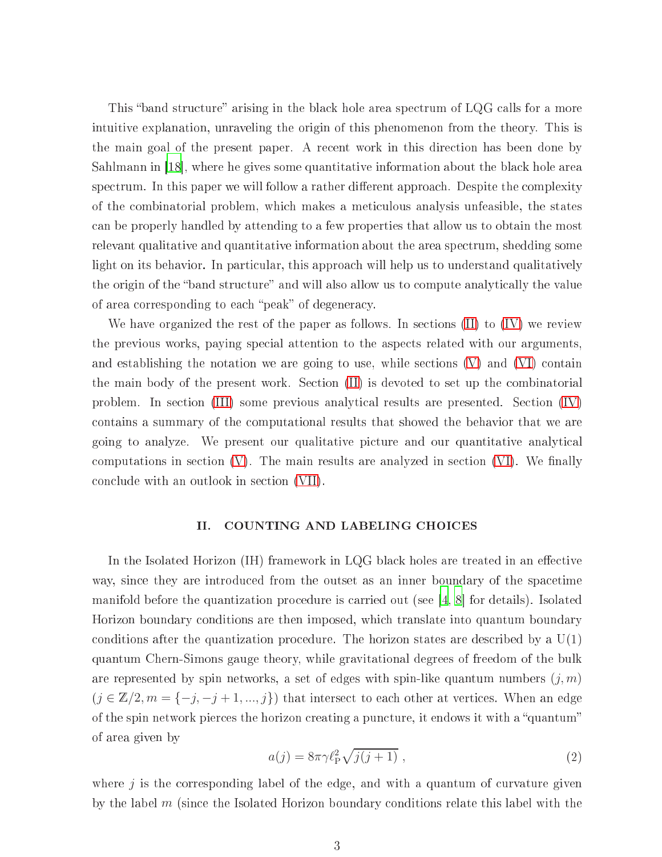This "band structure" arising in the black hole area spectrum of  $LQG$  calls for a more intuitive explanation, unraveling the origin of this phenomenon from the theory. This is the main goal of the present paper. A re
ent work in this dire
tion has been done by Sahlmann in  $\vert 18 \vert$ , where he gives some quantitative information about the black hole area spectrum. In this paper we will follow a rather different approach. Despite the complexity of the ombinatorial problem, whi
h makes a meti
ulous analysis unfeasible, the states an be properly handled by attending to a few properties that allow us to obtain the most relevant qualitative and quantitative information about the area spe
trum, shedding some light on its behavior. In particular, this approach will help us to understand qualitatively the origin of the "band structure" and will also allow us to compute analytically the value of area corresponding to each "peak" of degeneracy.

We have organized the rest of the paper as follows. In sections  $(II)$  to  $(IV)$  we review the previous works, paying spe
ial attention to the aspe
ts related with our arguments, and establishing the notation we are going to use, while sections  $(V)$  and  $(VI)$  contain the main body of the present work. Section [\(II\)](#page-3-0) is devoted to set up the combinatorial problem. In se
tion [\(III\)](#page-5-0) some previous analyti
al results are presented. Se
tion [\(IV\)](#page-8-0) ontains a summary of the omputational results that showed the behavior that we are going to analyze. We present our qualitative picture and our quantitative analytical computations in section  $(V)$ . The main results are analyzed in section  $(VI)$ . We finally on
lude with an outlook in se
tion [\(VII\)](#page-20-0).

#### <span id="page-3-0"></span>II. COUNTING AND LABELING CHOICES

In the Isolated Horizon (IH) framework in LQG black holes are treated in an effective way, sin
e they are introdu
ed from the outset as an inner boundary of the spa
etime manifold before the quantization procedure is carried out (see  $\left[4, 8\right]$  $\left[4, 8\right]$  $\left[4, 8\right]$  $\left[4, 8\right]$  $\left[4, 8\right]$  for details). Isolated Horizon boundary onditions are then imposed, whi
h translate into quantum boundary conditions after the quantization procedure. The horizon states are described by a  $U(1)$ quantum Chern-Simons gauge theory, while gravitational degrees of freedom of the bulk are represented by spin networks, a set of edges with spin-like quantum numbers  $(j, m)$  $(j \in \mathbb{Z}/2, m = \{-j, -j+1, ..., j\})$  that intersect to each other at vertices. When an edge of the spin network pierces the horizon creating a puncture, it endows it with a "quantum" of area given by

<span id="page-3-1"></span>
$$
a(j) = 8\pi\gamma \ell_{\rm P}^2 \sqrt{j(j+1)} \tag{2}
$$

where  $j$  is the corresponding label of the edge, and with a quantum of curvature given by the label m (since the Isolated Horizon boundary conditions relate this label with the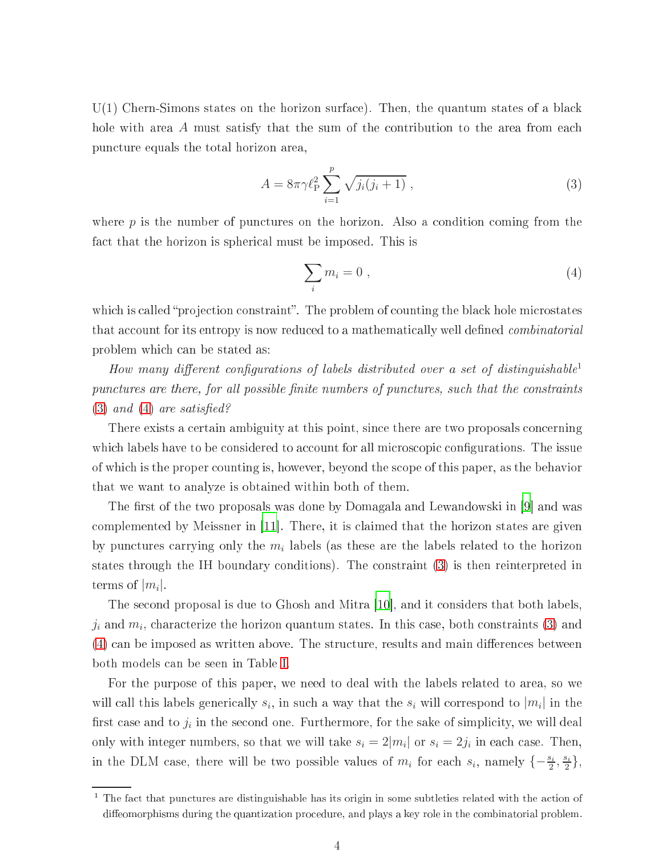U(1) Chern-Simons states on the horizon surface). Then, the quantum states of a black hole with area A must satisfy that the sum of the contribution to the area from each pun
ture equals the total horizon area,

<span id="page-4-0"></span>
$$
A = 8\pi \gamma \ell_{\rm P}^2 \sum_{i=1}^p \sqrt{j_i(j_i+1)} \,, \tag{3}
$$

where  $p$  is the number of punctures on the horizon. Also a condition coming from the fact that the horizon is spherical must be imposed. This is

<span id="page-4-1"></span>
$$
\sum_{i} m_i = 0 \tag{4}
$$

which is called "projection constraint". The problem of counting the black hole microstates that account for its entropy is now reduced to a mathematically well defined *combinatorial* problem whi
h an be stated as:

How many different configurations of labels distributed over a set of distinguishable<sup>1</sup> punctures are there, for all possible finite numbers of punctures, such that the constraints  $(3)$  and  $(4)$  are satisfied?

There exists a ertain ambiguity at this point, sin
e there are two proposals on
erning which labels have to be considered to account for all microscopic configurations. The issue of whi
h is the proper ounting is, however, beyond the s
ope of this paper, as the behavior that we want to analyze is obtained within both of them.

The first of the two proposals was done by Domagala and Lewandowski in [9] and was complemented by Meissner in  $[11]$ . There, it is claimed that the horizon states are given by punctures carrying only the  $m_i$  labels (as these are the labels related to the horizon states through the IH boundary onditions). The onstraint [\(3\)](#page-4-0) is then reinterpreted in terms of  $|m_i|$ .

The second proposal is due to Ghosh and Mitra [10], and it considers that both labels.  $j_i$  and  $m_i$ , characterize the horizon quantum states. In this case, both constraints [\(3\)](#page-4-0) and [\(4\)](#page-4-1) can be imposed as written above. The structure, results and main differences between both models an be seen in Table [I.](#page-5-1)

For the purpose of this paper, we need to deal with the labels related to area, so we will call this labels generically  $s_i$ , in such a way that the  $s_i$  will correspond to  $|m_i|$  in the first case and to  $j_i$  in the second one. Furthermore, for the sake of simplicity, we will deal only with integer numbers, so that we will take  $s_i = 2|m_i|$  or  $s_i = 2j_i$  in each case. Then, in the DLM case, there will be two possible values of  $m_i$  for each  $s_i$ , namely  $\{-\frac{s_i}{2}, \frac{s_i}{2}\}$  $\frac{1}{2}$  },

 $^\circ$  1 ne fact that punctures are distinguishable has its origin in some subtleties related with the action of diffeomorphisms during the quantization procedure, and plays a key role in the combinatorial problem.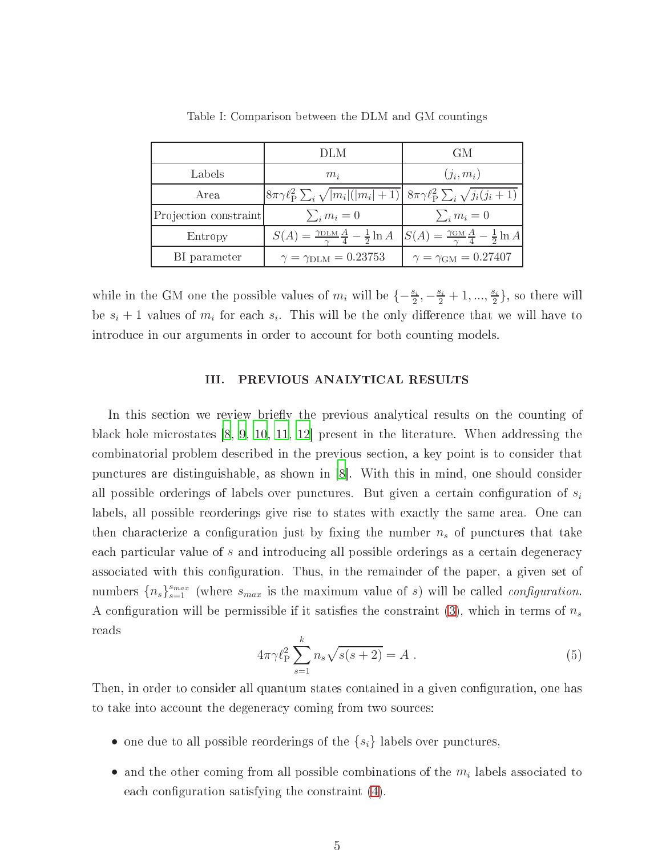|                       | DLM                                                                                                                                                                 | GM                                   |
|-----------------------|---------------------------------------------------------------------------------------------------------------------------------------------------------------------|--------------------------------------|
| Labels                | $m_i$                                                                                                                                                               | $(j_i, m_i)$                         |
| Area                  | $ 8\pi\gamma\ell_{\rm P}^2\sum_i\sqrt{ m_i ( m_i +1)}  8\pi\gamma\ell_{\rm P}^2\sum_i\sqrt{j_i(j_i+1)} $                                                            |                                      |
| Projection constraint | $\sum_i m_i = 0$                                                                                                                                                    | $\sum_i m_i = 0$                     |
| Entropy               | $S(A) = \frac{\gamma_{\text{DLM}}}{\gamma} \frac{A}{4} - \frac{1}{2} \ln A \left[ S(A) = \frac{\gamma_{\text{GM}}}{\gamma} \frac{A}{4} - \frac{1}{2} \ln A \right]$ |                                      |
| BI parameter          | $\gamma = \gamma_{\text{DLM}} = 0.23753$                                                                                                                            | $\gamma = \gamma_{\rm GM} = 0.27407$ |

<span id="page-5-1"></span>Table I: Comparison between the DLM and GM ountings

while in the GM one the possible values of  $m_i$  will be  $\{-\frac{s_i}{2}, -\frac{s_i}{2}+1, ..., \frac{s_i}{2}\}$  $\frac{\pi}{2}$ }, so there will be  $s_i + 1$  values of  $m_i$  for each  $s_i$ . This will be the only difference that we will have to introduce in our arguments in order to account for both counting models.

#### <span id="page-5-0"></span>III. PREVIOUS ANALYTICAL RESULTS

In this section we review briefly the previous analytical results on the counting of black hole microstates  $[8, 9, 10, 11, 12]$  $[8, 9, 10, 11, 12]$  $[8, 9, 10, 11, 12]$  $[8, 9, 10, 11, 12]$  $[8, 9, 10, 11, 12]$  $[8, 9, 10, 11, 12]$  $[8, 9, 10, 11, 12]$  $[8, 9, 10, 11, 12]$  present in the literature. When addressing the ombinatorial problem des
ribed in the previous se
tion, a key point is to onsider that punctures are distinguishable, as shown in [\[8](#page-22-7)]. With this in mind, one should consider all possible orderings of labels over punctures. But given a certain configuration of  $s_i$ labels, all possible reorderings give rise to states with exactly the same area. One can then characterize a configuration just by fixing the number  $n_s$  of punctures that take each particular value of s and introducing all possible orderings as a certain degeneracy associated with this configuration. Thus, in the remainder of the paper, a given set of numbers  ${n_s}_{s=1}^{s_{max}}$  (where  $s_{max}$  is the maximum value of s) will be called *configuration*. A configuration will be permissible if it satisfies the constraint  $(3)$ , which in terms of  $n_s$ reads

$$
4\pi\gamma \ell_{\rm P}^2 \sum_{s=1}^k n_s \sqrt{s(s+2)} = A \ . \tag{5}
$$

<span id="page-5-2"></span>Then, in order to consider all quantum states contained in a given configuration, one has to take into account the degeneracy coming from two sources:

- one due to all possible reorderings of the  $\{s_i\}$  labels over punctures,
- and the other coming from all possible combinations of the  $m_i$  labels associated to each configuration satisfying the constraint  $(4)$ .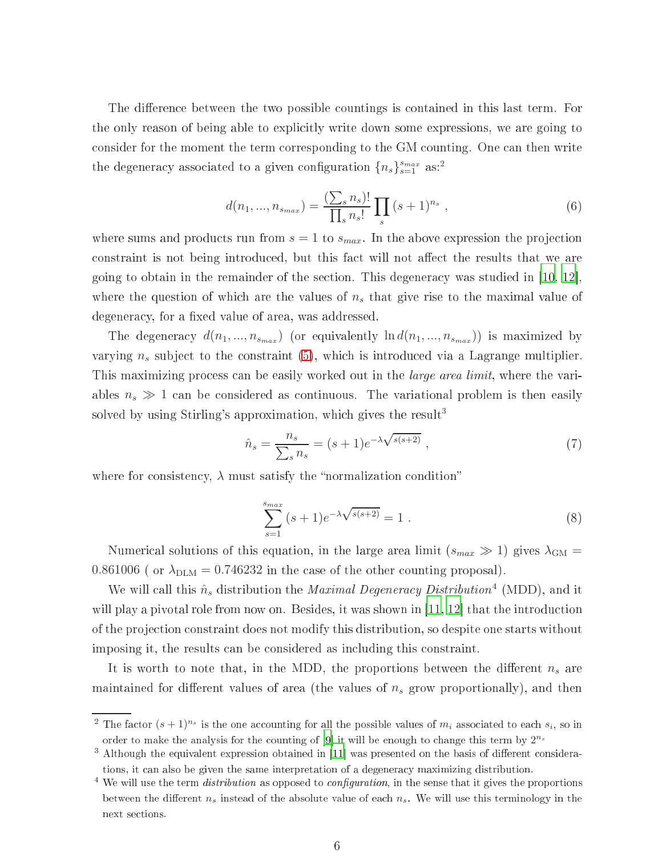The difference between the two possible countings is contained in this last term. For the only reason of being able to expli
itly write down some expressions, we are going to consider for the moment the term corresponding to the GM counting. One can then write the degeneracy associated to a given configuration  ${n_s}_{s=1}^{s_{max}}$  as:<sup>2</sup>

$$
d(n_1, ..., n_{s_{max}}) = \frac{\left(\sum_{s} n_s\right)!}{\prod_{s} n_s!} \prod_{s} (s+1)^{n_s} , \qquad (6)
$$

where sums and products run from  $s = 1$  to  $s_{max}$ . In the above expression the projection constraint is not being introduced, but this fact will not affect the results that we are going to obtain in the remainder of the section. This degeneracy was studied in  $(10, 12)$  $(10, 12)$  $(10, 12)$ , where the question of which are the values of  $n<sub>s</sub>$  that give rise to the maximal value of degeneracy, for a fixed value of area, was addressed.

The degeneracy  $d(n_1, ..., n_{s_{max}})$  (or equivalently  $\ln d(n_1, ..., n_{s_{max}})$ ) is maximized by varying  $n_s$  subject to the constraint [\(5\)](#page-5-2), which is introduced via a Lagrange multiplier. This maximizing process can be easily worked out in the *large area limit*, where the variables  $n_s \gg 1$  can be considered as continuous. The variational problem is then easily solved by using Stirling's approximation, which gives the result<sup>3</sup>

<span id="page-6-1"></span>
$$
\hat{n}_s = \frac{n_s}{\sum_s n_s} = (s+1)e^{-\lambda\sqrt{s(s+2)}}\,,\tag{7}
$$

<span id="page-6-0"></span>where for consistency,  $\lambda$  must satisfy the "normalization condition"

$$
\sum_{s=1}^{s_{max}} (s+1)e^{-\lambda \sqrt{s(s+2)}} = 1.
$$
 (8)

Numerical solutions of this equation, in the large area limit  $(s_{max} \gg 1)$  gives  $\lambda_{GM} =$ 0.861006 (or  $\lambda_{\text{DLM}} = 0.746232$  in the case of the other counting proposal).

We will call this  $\hat{n}_s$  distribution the *Maximal Degeneracy Distribution*<sup>4</sup> (MDD), and it will play a pivotal role from now on. Besides, it was shown in  $|11, 12|$  that the introduction of the proje
tion onstraint does not modify this distribution, so despite one starts without imposing it, the results an be onsidered as in
luding this onstraint.

It is worth to note that, in the MDD, the proportions between the different  $n<sub>s</sub>$  are maintained for different values of area (the values of  $n<sub>s</sub>$  grow proportionally), and then

<sup>&</sup>lt;sup>2</sup> The factor  $(s+1)^{n_s}$  is the one accounting for all the possible values of  $m_i$  associated to each  $s_i$ , so in order to make the analysis for the counting of  $[9]$  it will be enough to change this term by  $2^{n_s}$ 

<sup>.</sup> Although the equivalent expression obtained in [11] was presented on the basis of different considerations, it can also be given the same interpretation of a degeneracy maximizing distribution.

We will use the term *atstribution* as opposed to *configuration*, in the sense that it gives the proportions between the different  $n<sub>s</sub>$  instead of the absolute value of each  $n<sub>s</sub>$ . We will use this terminology in the next se
tions.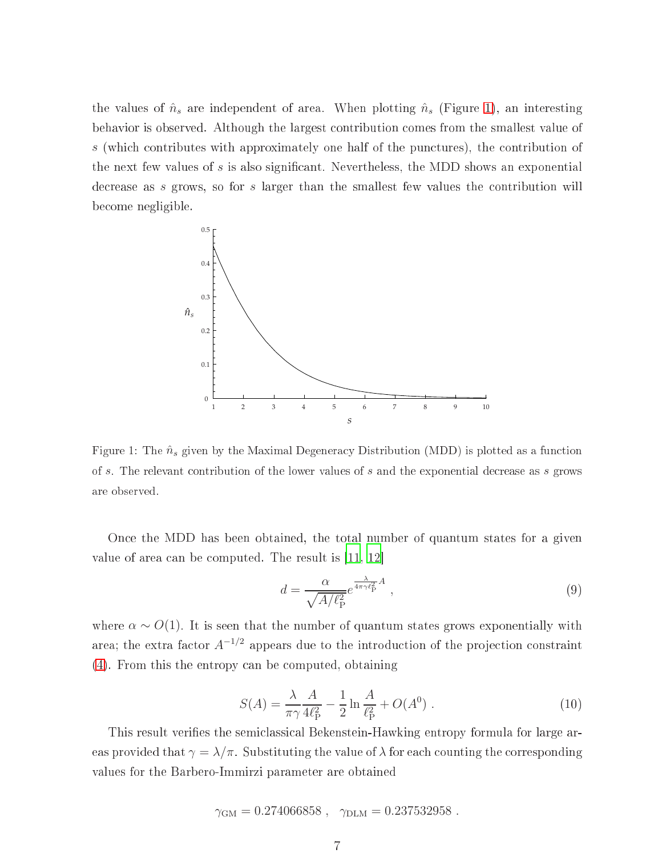the values of  $\hat{n}_s$  are independent of area. When plotting  $\hat{n}_s$  (Figure [1\)](#page-7-0), an interesting behavior is observed. Although the largest ontribution omes from the smallest value of s (which contributes with approximately one half of the punctures), the contribution of the next few values of s is also significant. Nevertheless, the MDD shows an exponential decrease as s grows, so for s larger than the smallest few values the contribution will be
ome negligible.



<span id="page-7-0"></span>Figure 1: The  $\hat{n}_s$  given by the Maximal Degeneracy Distribution (MDD) is plotted as a function of s. The relevant contribution of the lower values of s and the exponential decrease as s grows are observed.

On
e the MDD has been obtained, the total number of quantum states for a given value of area can be computed. The result is  $|11, 12|$  $|11, 12|$  $|11, 12|$ 

$$
d = \frac{\alpha}{\sqrt{A/\ell_{\rm P}^2}} e^{\frac{\lambda}{4\pi\gamma\ell_{\rm P}^2}A} \,,\tag{9}
$$

where  $\alpha \sim O(1)$ . It is seen that the number of quantum states grows exponentially with area; the extra factor  $A^{-1/2}$  appears due to the introduction of the projection constraint [\(4\)](#page-4-1). From this the entropy an be omputed, obtaining

$$
S(A) = \frac{\lambda}{\pi \gamma} \frac{A}{4\ell_{\rm P}^2} - \frac{1}{2} \ln \frac{A}{\ell_{\rm P}^2} + O(A^0) \ . \tag{10}
$$

This result verifies the semiclassical Bekenstein-Hawking entropy formula for large areas provided that  $\gamma = \lambda/\pi$ . Substituting the value of  $\lambda$  for each counting the corresponding values for the Barbero-Immirzi parameter are obtained

$$
\gamma_{\text{GM}} = 0.274066858
$$
,  $\gamma_{\text{DLM}} = 0.237532958$ .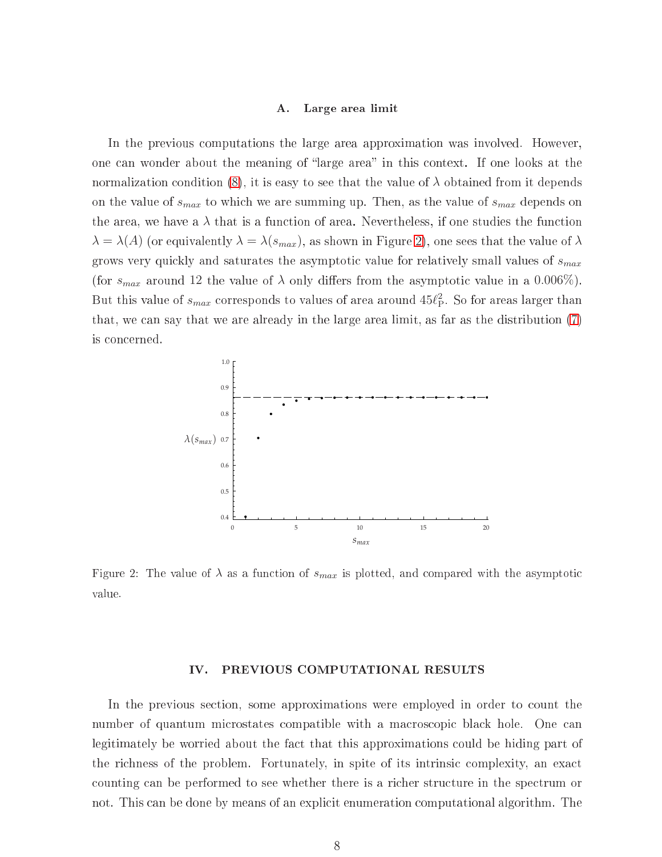#### <span id="page-8-2"></span>A. Large area limit

In the previous computations the large area approximation was involved. However, one can wonder about the meaning of "large area" in this context. If one looks at the normalization condition [\(8\)](#page-6-0), it is easy to see that the value of  $\lambda$  obtained from it depends on the value of  $s_{max}$  to which we are summing up. Then, as the value of  $s_{max}$  depends on the area, we have a  $\lambda$  that is a function of area. Nevertheless, if one studies the function  $\lambda = \lambda(A)$  (or equivalently  $\lambda = \lambda(s_{max})$ , as shown in Figure [2\)](#page-8-1), one sees that the value of  $\lambda$ grows very quickly and saturates the asymptotic value for relatively small values of  $s_{max}$ (for  $s_{max}$  around 12 the value of  $\lambda$  only differs from the asymptotic value in a 0.006%). But this value of  $s_{max}$  corresponds to values of area around  $45\ell_\text{P}^2$ . So for areas larger than that, we an say that we are already in the large area limit, as far as the distribution [\(7\)](#page-6-1) is on
erned.



<span id="page-8-1"></span>Figure 2: The value of  $\lambda$  as a function of  $s_{max}$  is plotted, and compared with the asymptotic value.

#### <span id="page-8-0"></span>IV. PREVIOUS COMPUTATIONAL RESULTS

In the previous section, some approximations were employed in order to count the number of quantum microstates compatible with a macroscopic black hole. One can legitimately be worried about the fact that this approximations could be hiding part of the richness of the problem. Fortunately, in spite of its intrinsic complexity, an exact counting can be performed to see whether there is a richer structure in the spectrum or not. This can be done by means of an explicit enumeration computational algorithm. The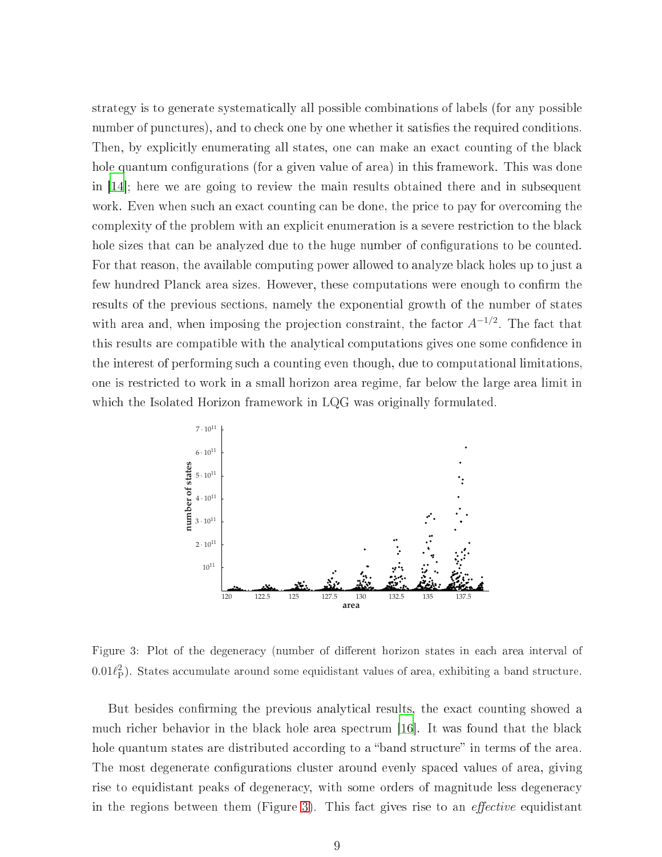strategy is to generate systemati
ally all possible ombinations of labels (for any possible number of punctures), and to check one by one whether it satisfies the required conditions. Then, by explicitly enumerating all states, one can make an exact counting of the black hole quantum configurations (for a given value of area) in this framework. This was done in  $|14|$ ; here we are going to review the main results obtained there and in subsequent work. Even when such an exact counting can be done, the price to pay for overcoming the complexity of the problem with an explicit enumeration is a severe restriction to the black hole sizes that can be analyzed due to the huge number of configurations to be counted. For that reason, the available omputing power allowed to analyze bla
k holes up to just a few hundred Planck area sizes. However, these computations were enough to confirm the results of the previous se
tions, namely the exponential growth of the number of states with area and, when imposing the projection constraint, the factor  $A^{-1/2}$ . The fact that this results are compatible with the analytical computations gives one some confidence in the interest of performing su
h a ounting even though, due to omputational limitations, one is restri
ted to work in a small horizon area regime, far below the large area limit in which the Isolated Horizon framework in LQG was originally formulated.



<span id="page-9-0"></span>Figure 3: Plot of the degeneracy (number of different horizon states in each area interval of  $0.01\ell_{\rm P}^2$ ). States accumulate around some equidistant values of area, exhibiting a band structure.

But besides confirming the previous analytical results, the exact counting showed a much richer behavior in the black hole area spectrum [\[16](#page-22-15)]. It was found that the black hole quantum states are distributed according to a "band structure" in terms of the area. The most degenerate configurations cluster around evenly spaced values of area, giving rise to equidistant peaks of degeneracy, with some orders of magnitude less degeneracy in the regions between them (Figure [3\)](#page-9-0). This fact gives rise to an *effective* equidistant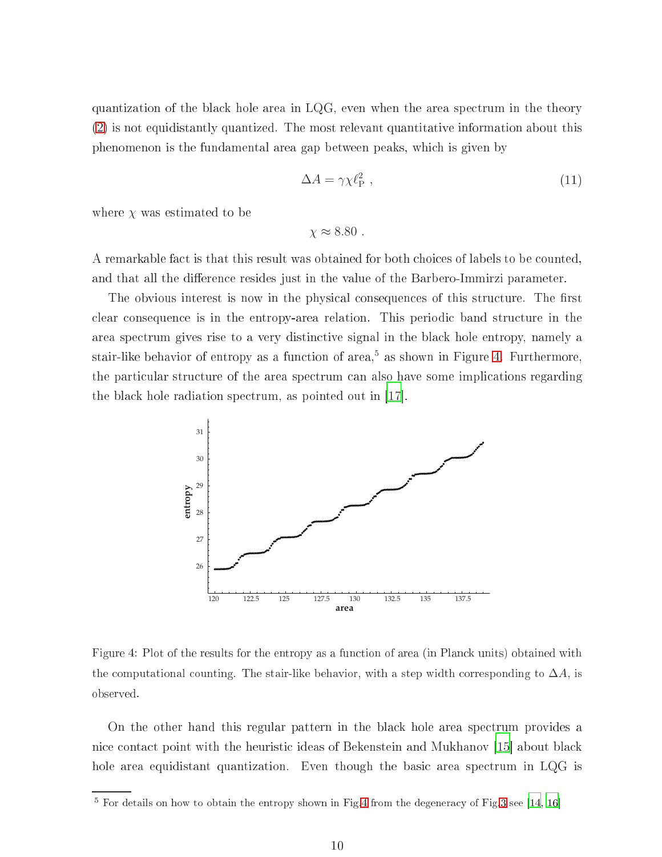quantization of the bla
k hole area in LQG, even when the area spe
trum in the theory [\(2\)](#page-3-1) is not equidistantly quantized. The most relevant quantitative information about this phenomenon is the fundamental area gap between peaks, whi
h is given by

$$
\Delta A = \gamma \chi \ell_{\rm P}^2 \tag{11}
$$

where  $\chi$  was estimated to be

 $\chi \approx 8.80$ .

A remarkable fact is that this result was obtained for both choices of labels to be counted, and that all the difference resides just in the value of the Barbero-Immirzi parameter.

The obvious interest is now in the physical consequences of this structure. The first clear consequence is in the entropy-area relation. This periodic band structure in the area spe
trum gives rise to a very distin
tive signal in the bla
k hole entropy, namely a stair-like behavior of entropy as a function of area, as shown in Figure [4.](#page-10-0) Furthermore, the parti
ular stru
ture of the area spe
trum an also have some impli
ations regarding the black hole radiation spectrum, as pointed out in  $|17|$ .



<span id="page-10-0"></span>Figure 4: Plot of the results for the entropy as a function of area (in Planck units) obtained with the computational counting. The stair-like behavior, with a step width corresponding to  $\Delta A$ , is observed.

On the other hand this regular pattern in the bla
k hole area spe
trum provides a nice contact point with the heuristic ideas of Bekenstein and Mukhanov [\[15](#page-22-14)] about black hole area equidistant quantization. Even though the basic area spectrum in LQG is

 $^\circ$  for details on now to obtain the entropy shown in Fig[.4](#page-10-0) from the degeneracy of Fig[.3](#page-9-0) see [\[14](#page-22-13), 10]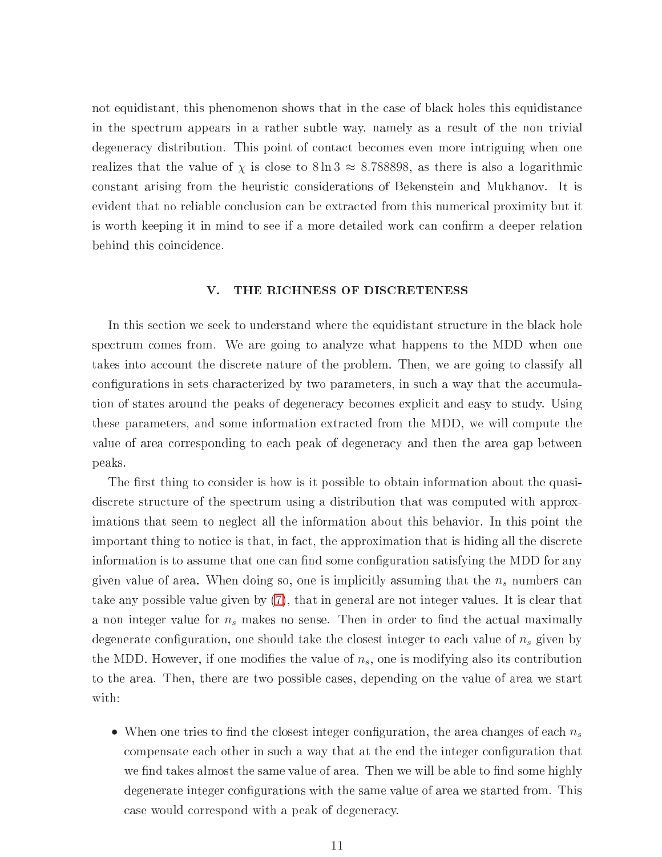not equidistant, this phenomenon shows that in the case of black holes this equidistance in the spe
trum appears in a rather subtle way, namely as a result of the non trivial degenera
y distribution. This point of onta
t be
omes even more intriguing when one realizes that the value of  $\chi$  is close to  $8 \ln 3 \approx 8.788898$ , as there is also a logarithmic constant arising from the heuristic considerations of Bekenstein and Mukhanov. It is evident that no reliable on
lusion an be extra
ted from this numeri
al proximity but it is worth keeping it in mind to see if a more detailed work can confirm a deeper relation behind this coincidence.

#### <span id="page-11-0"></span>V. THE RICHNESS OF DISCRETENESS

In this section we seek to understand where the equidistant structure in the black hole spe
trum omes from. We are going to analyze what happens to the MDD when one takes into account the discrete nature of the problem. Then, we are going to classify all configurations in sets characterized by two parameters, in such a way that the accumulation of states around the peaks of degeneracy becomes explicit and easy to study. Using these parameters, and some information extra
ted from the MDD, we will ompute the value of area orresponding to ea
h peak of degenera
y and then the area gap between peaks.

The first thing to consider is how is it possible to obtain information about the quasidiscrete structure of the spectrum using a distribution that was computed with approximations that seem to negle
t all the information about this behavior. In this point the important thing to notice is that, in fact, the approximation that is hiding all the discrete information is to assume that one can find some configuration satisfying the MDD for any given value of area. When doing so, one is implicitly assuming that the  $n_s$  numbers can take any possible value given by [\(7\)](#page-6-1), that in general are not integer values. It is lear that a non integer value for  $n_s$  makes no sense. Then in order to find the actual maximally degenerate configuration, one should take the closest integer to each value of  $n_s$  given by the MDD. However, if one modifies the value of  $n_s$ , one is modifying also its contribution to the area. Then, there are two possible cases, depending on the value of area we start with:

• When one tries to find the closest integer configuration, the area changes of each  $n_s$ compensate each other in such a way that at the end the integer configuration that we find takes almost the same value of area. Then we will be able to find some highly degenerate integer configurations with the same value of area we started from. This ase would orrespond with a peak of degenera
y.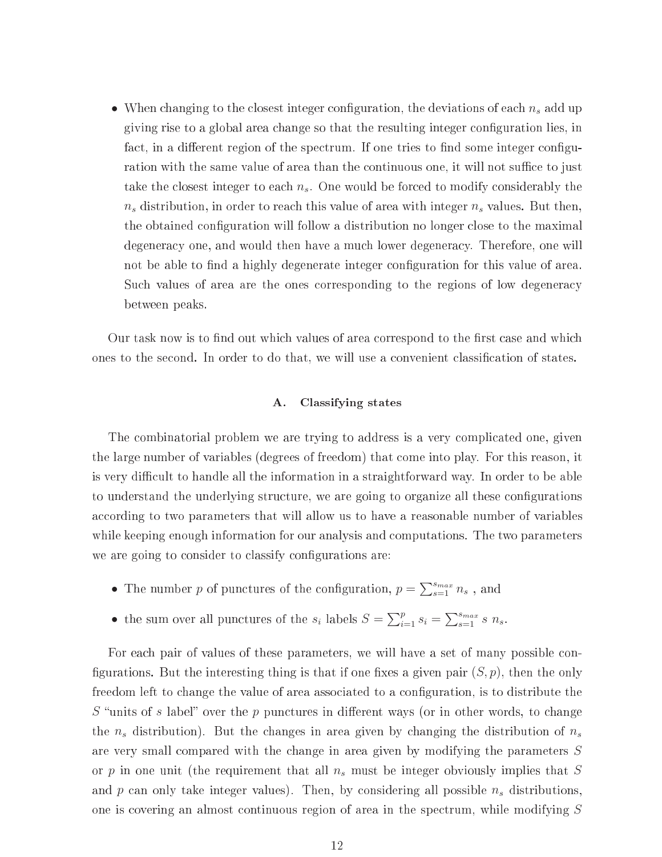• When changing to the closest integer configuration, the deviations of each  $n_s$  add up giving rise to a global area change so that the resulting integer configuration lies, in fact, in a different region of the spectrum. If one tries to find some integer configuration with the same value of area than the continuous one, it will not suffice to just take the closest integer to each  $n_s$ . One would be forced to modify considerably the  $n_s$  distribution, in order to reach this value of area with integer  $n_s$  values. But then, the obtained configuration will follow a distribution no longer close to the maximal degenera
y one, and would then have a mu
h lower degenera
y. Therefore, one will not be able to find a highly degenerate integer configuration for this value of area. Such values of area are the ones corresponding to the regions of low degeneracy between peaks.

Our task now is to find out which values of area correspond to the first case and which ones to the second. In order to do that, we will use a convenient classification of states.

#### A. Classifying states

The ombinatorial problem we are trying to address is a very ompli
ated one, given the large number of variables (degrees of freedom) that ome into play. For this reason, it is very difficult to handle all the information in a straightforward way. In order to be able to understand the underlying structure, we are going to organize all these configurations according to two parameters that will allow us to have a reasonable number of variables while keeping enough information for our analysis and omputations. The two parameters we are going to consider to classify configurations are:

- The number  $p$  of punctures of the configuration,  $p = \sum_{s=1}^{s_{max}} n_s$ , and
- the sum over all punctures of the  $s_i$  labels  $S = \sum_{i=1}^p s_i = \sum_{s=1}^{s_{max}} s_n$ .

For each pair of values of these parameters, we will have a set of many possible configurations. But the interesting thing is that if one fixes a given pair  $(S, p)$ , then the only freedom left to change the value of area associated to a configuration, is to distribute the  $S$  "units of s label" over the p punctures in different ways (or in other words, to change the  $n_s$  distribution). But the changes in area given by changing the distribution of  $n_s$ are very small compared with the change in area given by modifying the parameters S or p in one unit (the requirement that all  $n_s$  must be integer obviously implies that S and  $p$  can only take integer values). Then, by considering all possible  $n<sub>s</sub>$  distributions, one is overing an almost ontinuous region of area in the spe
trum, while modifying S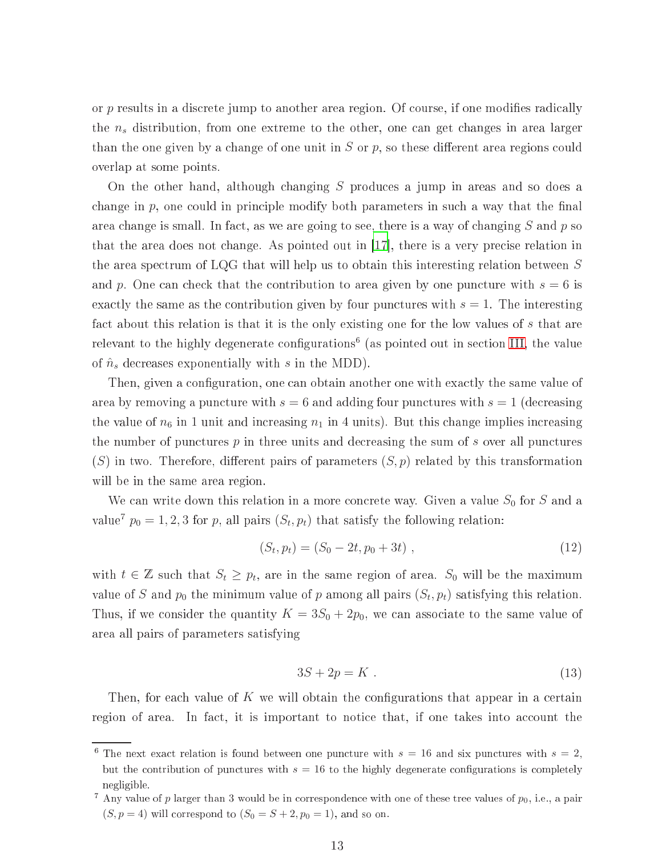or p results in a discrete jump to another area region. Of course, if one modifies radically the  $n_s$  distribution, from one extreme to the other, one can get changes in area larger than the one given by a change of one unit in  $S$  or  $p$ , so these different area regions could overlap at some points.

On the other hand, although hanging S produ
es a jump in areas and so does a change in  $p$ , one could in principle modify both parameters in such a way that the final area change is small. In fact, as we are going to see, there is a way of changing  $S$  and  $p$  so that the area does not change. As pointed out in  $[17]$  $[17]$ , there is a very precise relation in the area spe
trum of LQG that will help us to obtain this interesting relation between S and p. One can check that the contribution to area given by one puncture with  $s = 6$  is exactly the same as the contribution given by four punctures with  $s = 1$ . The interesting fact about this relation is that it is the only existing one for the low values of s that are relevant to the highly degenerate configurations (as pointed out in section [III,](#page-5-0) the value of  $\hat{n}_s$  decreases exponentially with s in the MDD).

Then, given a configuration, one can obtain another one with exactly the same value of area by removing a puncture with  $s=6$  and adding four punctures with  $s=1$  (decreasing the value of  $n_6$  in 1 unit and increasing  $n_1$  in 4 units). But this change implies increasing the number of punctures  $p$  in three units and decreasing the sum of  $s$  over all punctures  $(S)$  in two. Therefore, different pairs of parameters  $(S, p)$  related by this transformation will be in the same area region.

We can write down this relation in a more concrete way. Given a value  $S_0$  for S and a value<sup>7</sup>  $p_0 = 1, 2, 3$  for p, all pairs  $(S_t, p_t)$  that satisfy the following relation:

$$
(S_t, p_t) = (S_0 - 2t, p_0 + 3t) , \qquad (12)
$$

<span id="page-13-0"></span>with  $t \in \mathbb{Z}$  such that  $S_t \geq p_t$ , are in the same region of area.  $S_0$  will be the maximum value of S and  $p_0$  the minimum value of p among all pairs  $(S_t, p_t)$  satisfying this relation. Thus, if we consider the quantity  $K = 3S_0 + 2p_0$ , we can associate to the same value of area all pairs of parameters satisfying

$$
3S + 2p = K \tag{13}
$$

Then, for each value of K we will obtain the configurations that appear in a certain region of area. In fact, it is important to notice that, if one takes into account the

<sup>&</sup>lt;sup>6</sup> The next exact relation is found between one puncture with  $s = 16$  and six punctures with  $s = 2$ , but the contribution of punctures with  $s = 16$  to the highly degenerate configurations is completely negligible.

<sup>&</sup>lt;sup>7</sup> Any value of p larger than 3 would be in correspondence with one of these tree values of  $p_0$ , i.e., a pair  $(S, p = 4)$  will correspond to  $(S_0 = S + 2, p_0 = 1)$ , and so on.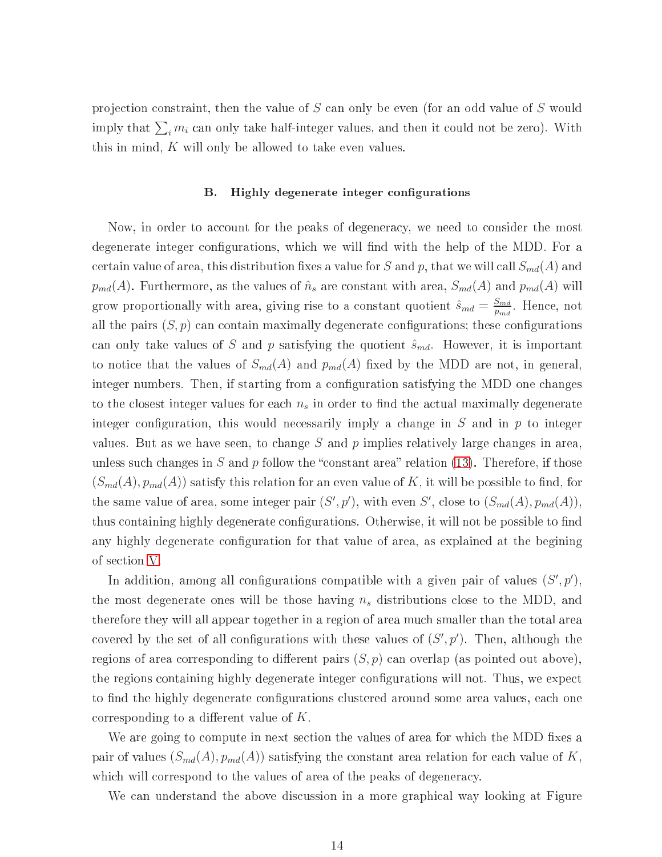projection constraint, then the value of S can only be even (for an odd value of S would imply that  $\sum_i m_i$  can only take half-integer values, and then it could not be zero). With this in mind,  $K$  will only be allowed to take even values.

#### B. Highly degenerate integer configurations

Now, in order to account for the peaks of degeneracy, we need to consider the most degenerate integer configurations, which we will find with the help of the MDD. For a certain value of area, this distribution fixes a value for S and p, that we will call  $S_{md}(A)$  and  $p_{md}(A)$ . Furthermore, as the values of  $\hat{n}_s$  are constant with area,  $S_{md}(A)$  and  $p_{md}(A)$  will grow proportionally with area, giving rise to a constant quotient  $\hat{s}_{md} = \frac{S_{md}}{n_{md}}$  $p_{md}$  . Hence, how all the pairs  $(S, p)$  can contain maximally degenerate configurations; these configurations can only take values of S and p satisfying the quotient  $\hat{s}_{md}$ . However, it is important to notice that the values of  $S_{md}(A)$  and  $p_{md}(A)$  fixed by the MDD are not, in general, integer numbers. Then, if starting from a configuration satisfying the MDD one changes to the closest integer values for each  $n_s$  in order to find the actual maximally degenerate integer configuration, this would necessarily imply a change in  $S$  and in  $p$  to integer values. But as we have seen, to change  $S$  and  $p$  implies relatively large changes in area, unless such changes in S and p follow the "constant area" relation  $(13)$ . Therefore, if those  $(S_{md}(A), p_{md}(A))$  satisfy this relation for an even value of K, it will be possible to find, for the same value of area, some integer pair  $(S', p')$ , with even S', close to  $(S_{md}(A), p_{md}(A)),$ thus containing highly degenerate configurations. Otherwise, it will not be possible to find any highly degenerate configuration for that value of area, as explained at the begining of se
tion [V.](#page-11-0)

In addition, among all configurations compatible with a given pair of values  $(S', p')$ , the most degenerate ones will be those having  $n_s$  distributions close to the MDD, and therefore they will all appear together in a region of area mu
h smaller than the total area covered by the set of all configurations with these values of  $(S', p')$ . Then, although the regions of area corresponding to different pairs  $(S, p)$  can overlap (as pointed out above), the regions containing highly degenerate integer configurations will not. Thus, we expect to find the highly degenerate configurations clustered around some area values, each one corresponding to a different value of  $K$ .

We are going to compute in next section the values of area for which the MDD fixes a pair of values  $(S_{md}(A), p_{md}(A))$  satisfying the constant area relation for each value of K, which will correspond to the values of area of the peaks of degeneracy.

We can understand the above discussion in a more graphical way looking at Figure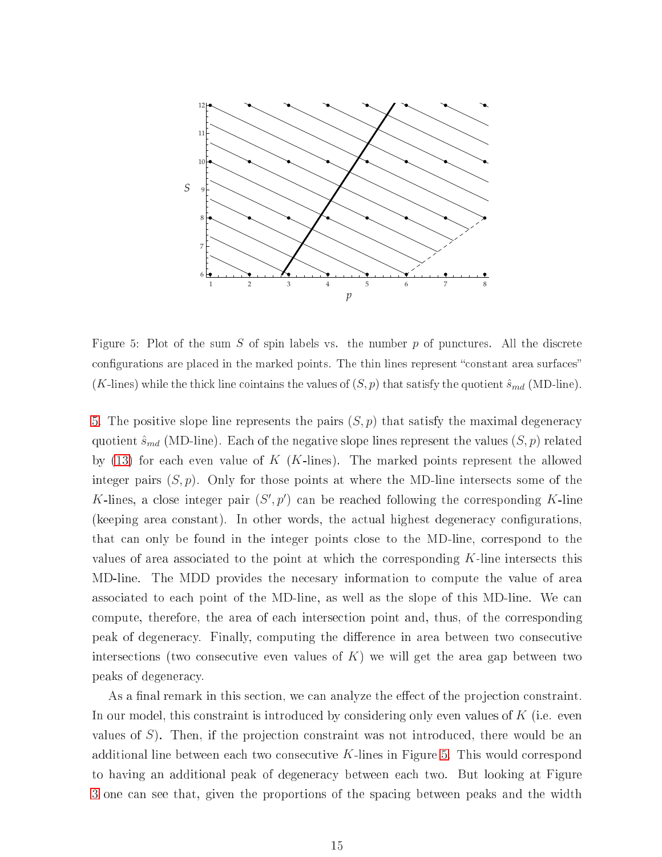

<span id="page-15-0"></span>Figure 5: Plot of the sum  $S$  of spin labels vs. the number  $p$  of punctures. All the discrete configurations are placed in the marked points. The thin lines represent "constant area surfaces"  $(K\text{-lines})$  while the thick line cointains the values of  $(S, p)$  that satisfy the quotient  $\hat{s}_{md}$  (MD-line).

[5.](#page-15-0) The positive slope line represents the pairs  $(S, p)$  that satisfy the maximal degeneracy quotient  $\hat{s}_{md}$  (MD-line). Each of the negative slope lines represent the values  $(S, p)$  related by  $(13)$  for each even value of K (K-lines). The marked points represent the allowed integer pairs  $(S, p)$ . Only for those points at where the MD-line intersects some of the K-lines, a close integer pair  $(S', p')$  can be reached following the corresponding K-line (keeping area constant). In other words, the actual highest degeneracy configurations, that can only be found in the integer points close to the MD-line, correspond to the values of area associated to the point at which the corresponding  $K$ -line intersects this MD-line. The MDD provides the ne
esary information to ompute the value of area asso
iated to ea
h point of the MD-line, as well as the slope of this MD-line. We an compute, therefore, the area of each intersection point and, thus, of the corresponding peak of degeneracy. Finally, computing the difference in area between two consecutive intersections (two consecutive even values of  $K$ ) we will get the area gap between two peaks of degenera
y.

As a final remark in this section, we can analyze the effect of the projection constraint. In our model, this constraint is introduced by considering only even values of  $K$  (i.e. even values of  $S$ ). Then, if the projection constraint was not introduced, there would be an additional line between each two consecutive K-lines in Figure [5.](#page-15-0) This would correspond to having an additional peak of degenera
y between ea
h two. But looking at Figure [3](#page-9-0) one can see that, given the proportions of the spacing between peaks and the width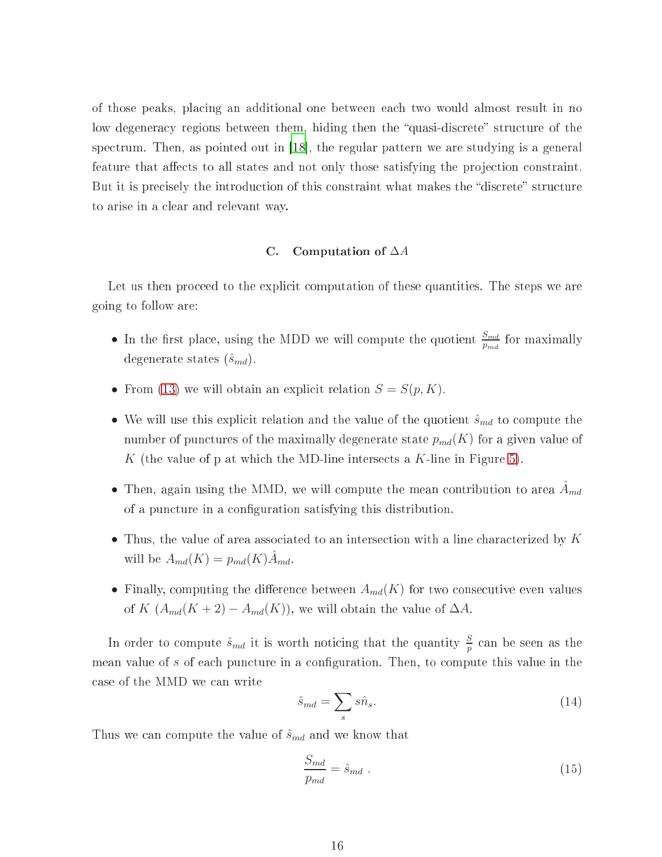of those peaks, pla
ing an additional one between ea
h two would almost result in no low degeneracy regions between them, hiding then the "quasi-discrete" structure of the spectrum. Then, as pointed out in [\[18](#page-22-17)], the regular pattern we are studying is a general feature that affects to all states and not only those satisfying the projection constraint. But it is precisely the introduction of this constraint what makes the "discrete" structure to arise in a lear and relevant way.

### C. Computation of ∆A

Let us then proceed to the explicit computation of these quantities. The steps we are going to follow are:

- In the first place, using the MDD we will compute the quotient  $\frac{S_{md}}{p_{md}}$  for maximally degenerate states  $(\hat{s}_{md})$ .
- From [\(13\)](#page-13-0) we will obtain an explicit relation  $S = S(p, K)$ .
- We will use this explicit relation and the value of the quotient  $\hat{s}_{md}$  to compute the number of punctures of the maximally degenerate state  $p_{md}(K)$  for a given value of K (the value of p at which the MD-line intersects a K-line in Figure [5\)](#page-15-0).
- Then, again using the MMD, we will compute the mean contribution to area  $A_{md}$ of a pun
ture in a onguration satisfying this distribution.
- Thus, the value of area associated to an intersection with a line characterized by  $K$ will be  $A_{md}(K) = p_{md}(K)\hat{A}_{md}$ .
- Finally, computing the difference between  $A_{md}(K)$  for two consecutive even values of K  $(A_{md}(K+2) - A_{md}(K))$ , we will obtain the value of  $\Delta A$ .

In order to compute  $\hat{s}_{md}$  it is worth noticing that the quantity  $\frac{S}{p}$  can be seen as the mean value of s of each puncture in a configuration. Then, to compute this value in the ase of the MMD we an write

$$
\hat{s}_{md} = \sum_{s} s\hat{n}_s. \tag{14}
$$

Thus we can compute the value of  $\hat{s}_{md}$  and we know that

<span id="page-16-0"></span>
$$
\frac{S_{md}}{p_{md}} = \hat{s}_{md} \tag{15}
$$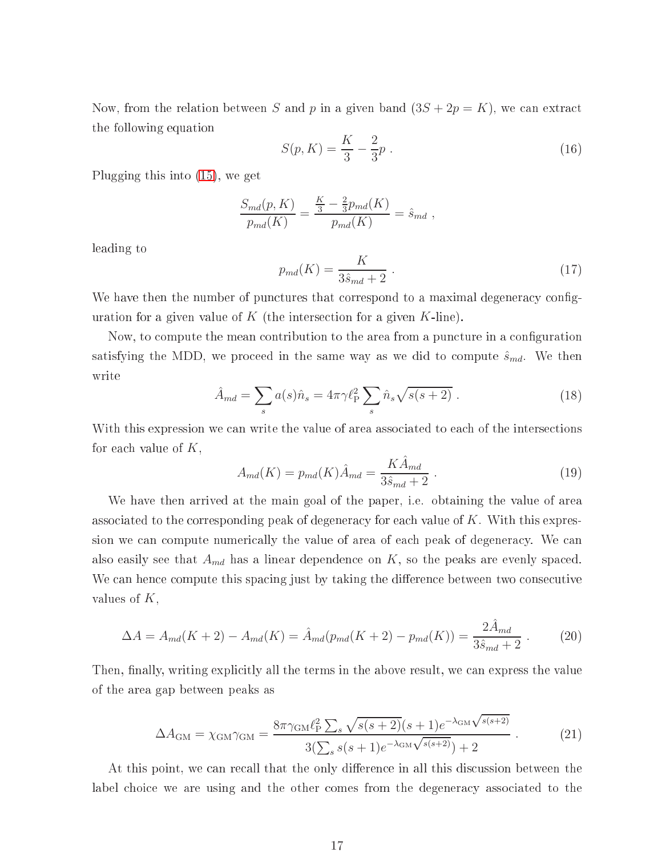Now, from the relation between S and p in a given band  $(3S + 2p = K)$ , we can extract the following equation

$$
S(p,K) = \frac{K}{3} - \frac{2}{3}p \tag{16}
$$

Plugging this into [\(15\)](#page-16-0), we get

$$
\frac{S_{md}(p, K)}{p_{md}(K)} = \frac{\frac{K}{3} - \frac{2}{3}p_{md}(K)}{p_{md}(K)} = \hat{s}_{md} ,
$$

leading to

$$
p_{md}(K) = \frac{K}{3\hat{s}_{md} + 2} \ . \tag{17}
$$

We have then the number of punctures that correspond to a maximal degeneracy configuration for a given value of K (the intersection for a given  $K$ -line).

Now, to compute the mean contribution to the area from a puncture in a configuration satisfying the MDD, we proceed in the same way as we did to compute  $\hat{s}_{md}$ . We then write

$$
\hat{A}_{md} = \sum_s a(s)\hat{n}_s = 4\pi\gamma \ell_{\rm P}^2 \sum_s \hat{n}_s \sqrt{s(s+2)}\ . \tag{18}
$$

With this expression we can write the value of area associated to each of the intersections for each value of  $K$ ,

$$
A_{md}(K) = p_{md}(K)\hat{A}_{md} = \frac{K\hat{A}_{md}}{3\hat{s}_{md} + 2} \tag{19}
$$

We have then arrived at the main goal of the paper, i.e. obtaining the value of area associated to the corresponding peak of degeneracy for each value of  $K$ . With this expression we can compute numerically the value of area of each peak of degeneracy. We can also easily see that  $A_{md}$  has a linear dependence on K, so the peaks are evenly spaced. We can hence compute this spacing just by taking the difference between two consecutive values of  $K$ ,

$$
\Delta A = A_{md}(K+2) - A_{md}(K) = \hat{A}_{md}(p_{md}(K+2) - p_{md}(K)) = \frac{2\hat{A}_{md}}{3\hat{s}_{md} + 2} \,. \tag{20}
$$

Then, finally, writing explicitly all the terms in the above result, we can express the value of the area gap between peaks as

$$
\Delta A_{\rm GM} = \chi_{\rm GM} \gamma_{\rm GM} = \frac{8\pi \gamma_{\rm GM} \ell_{\rm P}^2 \sum_{s} \sqrt{s(s+2)} (s+1) e^{-\lambda_{\rm GM} \sqrt{s(s+2)}}}{3(\sum_{s} s(s+1) e^{-\lambda_{\rm GM} \sqrt{s(s+2)}}) + 2} \,. \tag{21}
$$

At this point, we can recall that the only difference in all this discussion between the label choice we are using and the other comes from the degeneracy associated to the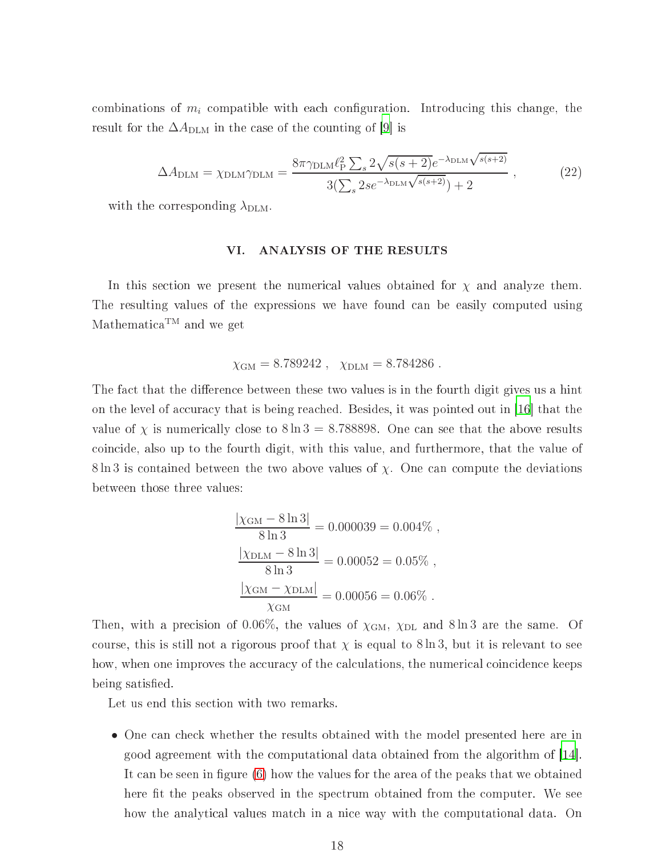<span id="page-18-1"></span>combinations of  $m_i$  compatible with each configuration. Introducing this change, the result for the  $\Delta A_{\text{DLM}}$  in the case of the counting of [\[9](#page-22-8)] is

$$
\Delta A_{\text{DLM}} = \chi_{\text{DLM}} \gamma_{\text{DLM}} = \frac{8\pi \gamma_{\text{DLM}} \ell_{\text{P}}^2 \sum_{s} 2\sqrt{s(s+2)} e^{-\lambda_{\text{DLM}} \sqrt{s(s+2)}}}{3(\sum_{s} 2se^{-\lambda_{\text{DLM}} \sqrt{s(s+2)}}) + 2}, \qquad (22)
$$

with the corresponding  $\lambda_{\text{DLM}}$ .

#### <span id="page-18-0"></span>ANALYSIS OF THE RESULTS VI.

In this section we present the numerical values obtained for  $\chi$  and analyze them. The resulting values of the expressions we have found an be easily omputed using Mathematica<sup>TM</sup> and we get

$$
\chi_{\text{GM}} = 8.789242
$$
,  $\chi_{\text{DLM}} = 8.784286$ .

The fact that the difference between these two values is in the fourth digit gives us a hint on the level of accuracy that is being reached. Besides, it was pointed out in [16] that the value of  $\chi$  is numerically close to  $8 \ln 3 = 8.788898$ . One can see that the above results oin
ide, also up to the fourth digit, with this value, and furthermore, that the value of  $8 \ln 3$  is contained between the two above values of  $\chi$ . One can compute the deviations between those three values:

$$
\frac{|\chi_{\text{GM}} - 8 \ln 3|}{8 \ln 3} = 0.000039 = 0.004\%,
$$
  

$$
\frac{|\chi_{\text{DLM}} - 8 \ln 3|}{8 \ln 3} = 0.00052 = 0.05\%,
$$
  

$$
\frac{|\chi_{\text{GM}} - \chi_{\text{DLM}}|}{\chi_{\text{GM}}} = 0.00056 = 0.06\%.
$$

Then, with a precision of 0.06%, the values of  $\chi_{\text{GM}}$ ,  $\chi_{\text{DL}}$  and 8ln 3 are the same. Of course, this is still not a rigorous proof that  $\chi$  is equal to 8 ln 3, but it is relevant to see how, when one improves the accuracy of the calculations, the numerical coincidence keeps being satisfied.

Let us end this section with two remarks.

• One can check whether the results obtained with the model presented here are in good agreement with the computational data obtained from the algorithm of [\[14](#page-22-13)]. It can be seen in figure [\(6\)](#page-19-0) how the values for the area of the peaks that we obtained here fit the peaks observed in the spectrum obtained from the computer. We see how the analytical values match in a nice way with the computational data. On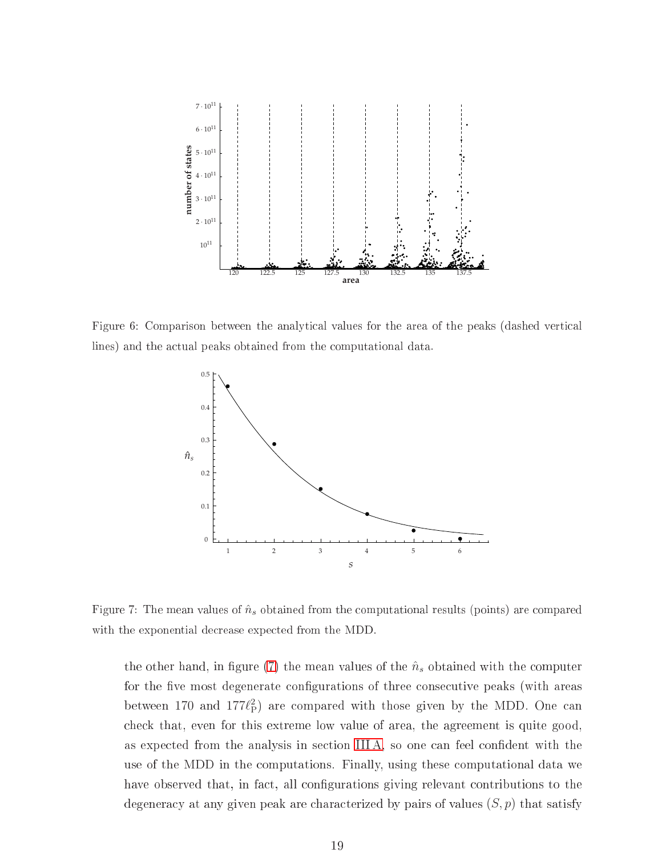

Figure 6: Comparison between the analytical values for the area of the peaks (dashed vertical lines) and the actual peaks obtained from the computational data.

<span id="page-19-0"></span>

Figure 7: The mean values of  $\hat{n}_s$  obtained from the computational results (points) are compared with the exponential decrease expected from the MDD.

<span id="page-19-1"></span>the other hand, in figure [\(7\)](#page-19-1) the mean values of the  $\hat{n}_s$  obtained with the computer for the five most degenerate configurations of three consecutive peaks (with areas between 170 and  $177\ell_P^2$ ) are compared with those given by the MDD. One can he
k that, even for this extreme low value of area, the agreement is quite good, as expected from the analysis in section IIIA, so one can feel confident with the use of the MDD in the omputations. Finally, using these omputational data we have observed that, in fact, all configurations giving relevant contributions to the degeneracy at any given peak are characterized by pairs of values  $(S, p)$  that satisfy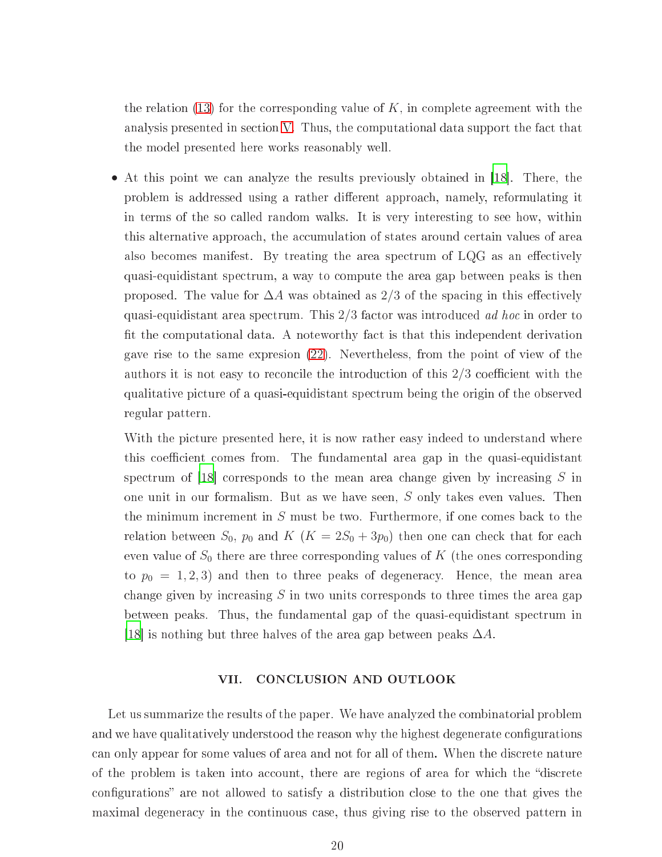the relation  $(13)$  for the corresponding value of K, in complete agreement with the analysis presented in section [V.](#page-11-0) Thus, the computational data support the fact that the model presented here works reasonably well.

• At this point we can analyze the results previously obtained in [18]. There, the problem is addressed using a rather different approach, namely, reformulating it in terms of the so alled random walks. It is very interesting to see how, within this alternative approach, the accumulation of states around certain values of area also becomes manifest. By treating the area spectrum of  $LQG$  as an effectively quasi-equidistant spe
trum, a way to ompute the area gap between peaks is then proposed. The value for  $\Delta A$  was obtained as 2/3 of the spacing in this effectively quasi-equidistant area spe
trum. This 2/3 fa
tor was introdu
ed ad ho in order to fit the computational data. A noteworthy fact is that this independent derivation gave rise to the same expresion [\(22\)](#page-18-1). Nevertheless, from the point of view of the authors it is not easy to reconcile the introduction of this  $2/3$  coefficient with the qualitative pi
ture of a quasi-equidistant spe
trum being the origin of the observed regular pattern.

With the picture presented here, it is now rather easy indeed to understand where this coefficient comes from. The fundamental area gap in the quasi-equidistant spectrum of [18] corresponds to the mean area change given by increasing  $S$  in one unit in our formalism. But as we have seen, S only takes even values. Then the minimum increment in  $S$  must be two. Furthermore, if one comes back to the relation between  $S_0$ ,  $p_0$  and  $K$   $(K = 2S_0 + 3p_0)$  then one can check that for each even value of  $S_0$  there are three corresponding values of K (the ones corresponding to  $p_0 = 1, 2, 3$  and then to three peaks of degeneracy. Hence, the mean area change given by increasing  $S$  in two units corresponds to three times the area gap between peaks. Thus, the fundamental gap of the quasi-equidistant spe
trum in [18] is nothing but three halves of the area gap between peaks  $\Delta A$ .

### <span id="page-20-0"></span>VII. CONCLUSION AND OUTLOOK

Let us summarize the results of the paper. We have analyzed the combinatorial problem and we have qualitatively understood the reason why the highest degenerate configurations an only appear for some values of area and not for all of them. When the dis
rete nature of the problem is taken into account, there are regions of area for which the "discrete" configurations" are not allowed to satisfy a distribution close to the one that gives the maximal degenera
y in the ontinuous ase, thus giving rise to the observed pattern in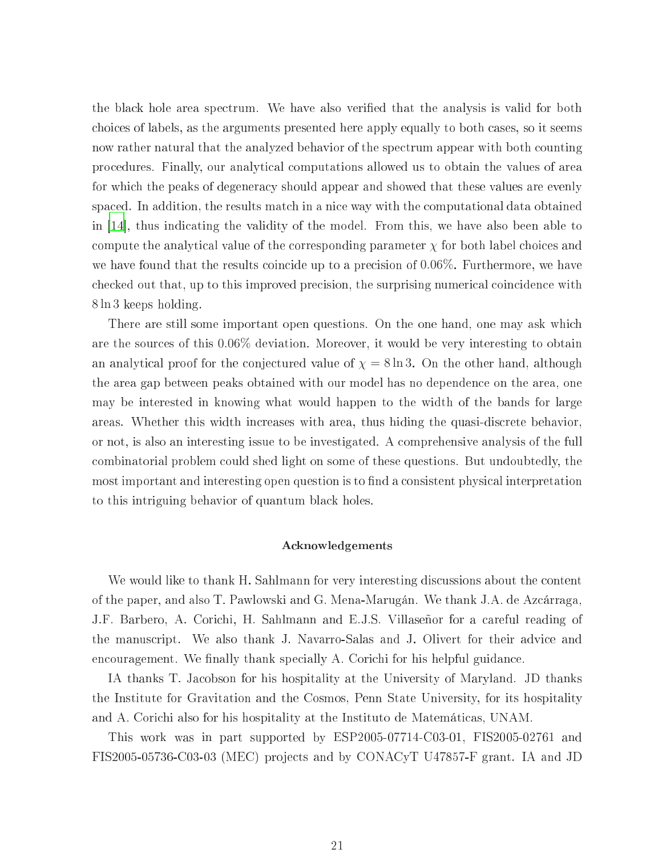the bla
k hole area spe
trum. We have also veried that the analysis is valid for both hoi
es of labels, as the arguments presented here apply equally to both ases, so it seems now rather natural that the analyzed behavior of the spectrum appear with both counting pro
edures. Finally, our analyti
al omputations allowed us to obtain the values of area for which the peaks of degeneracy should appear and showed that these values are evenly spaced. In addition, the results match in a nice way with the computational data obtained in [\[14](#page-22-13)], thus indicating the validity of the model. From this, we have also been able to compute the analytical value of the corresponding parameter  $\chi$  for both label choices and we have found that the results coincide up to a precision of 0.06%. Furthermore, we have checked out that, up to this improved precision, the surprising numerical coincidence with 8 ln 3 keeps holding.

There are still some important open questions. On the one hand, one may ask which are the sour
es of this 0.06% deviation. Moreover, it would be very interesting to obtain an analytical proof for the conjectured value of  $\chi = 8 \ln 3$ . On the other hand, although the area gap between peaks obtained with our model has no dependen
e on the area, one may be interested in knowing what would happen to the width of the bands for large areas. Whether this width increases with area, thus hiding the quasi-discrete behavior. or not, is also an interesting issue to be investigated. A omprehensive analysis of the full ombinatorial problem ould shed light on some of these questions. But undoubtedly, the most important and interesting open question is to find a consistent physical interpretation to this intriguing behavior of quantum bla
k holes.

#### A
knowledgements

We would like to thank H. Sahlmann for very interesting discussions about the content of the paper, and also T. Pawlowski and G. Mena-Marugán. We thank J.A. de Az
árraga, J.F. Barbero, A. Cori
hi, H. Sahlmann and E.J.S. Villaseñor for a areful reading of the manuscript. We also thank J. Navarro-Salas and J. Olivert for their advice and encouragement. We finally thank specially A. Corichi for his helpful guidance.

IA thanks T. Ja
obson for his hospitality at the University of Maryland. JD thanks the Institute for Gravitation and the Cosmos, Penn State University, for its hospitality and A. Cori
hi also for his hospitality at the Instituto de Matemáti
as, UNAM.

This work was in part supported by ESP2005-07714-C03-01, FIS2005-02761 and FIS2005-05736-C03-03 (MEC) proje
ts and by CONACyT U47857-F grant. IA and JD